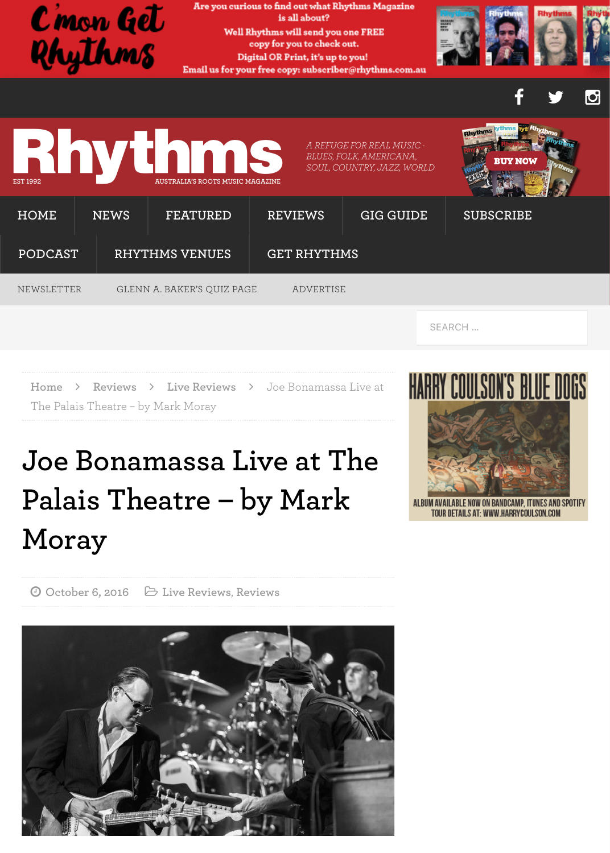

Home > Reviews > Live Reviews > Joe Bonamassa Live at The Palais Theatre - by Mark Moray

## Joe Bonamassa Live at The Palais Theatre - by Mark Moray



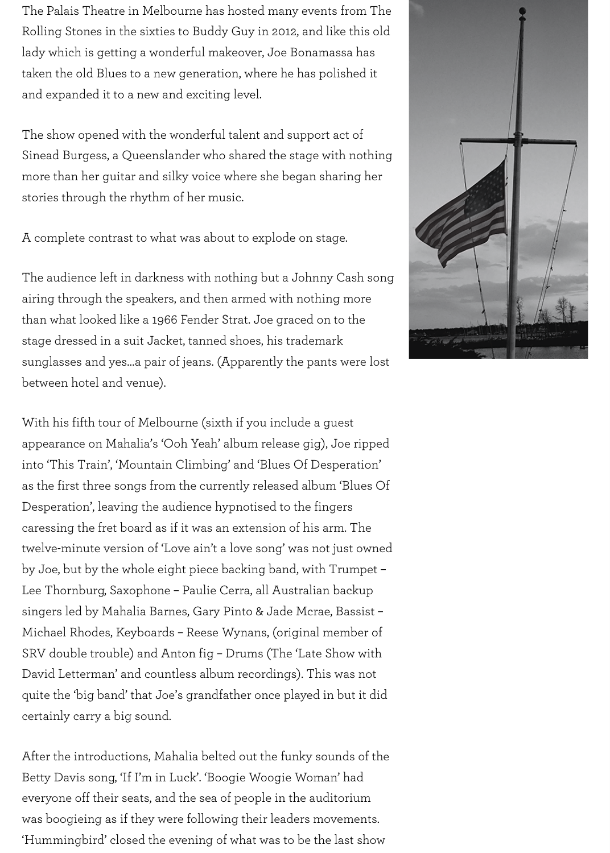Sinead Burgess, a Queenslander who shared the stage with nothing more than her guitar and silky voice where she began sharing her stories through the rhythm of her music.

A complete contrast to what was about to explode on stage.

The audience left in darkness with nothing but a Johnny Cash song airing through the speakers, and then armed with nothing more than what looked like a 1966 Fender Strat. Joe graced on to the stage dressed in a suit Jacket, tanned shoes, his trademark sunglasses and yes…a pair of jeans. (Apparently the pants were lost between hotel and venue).

With his fifth tour of Melbourne (sixth if you include a guest appearance on Mahalia's 'Ooh Yeah' album release gig), Joe ripped into 'This Train', 'Mountain Climbing' and 'Blues Of Desperation' as the first three songs from the currently released album 'Blues Of Desperation', leaving the audience hypnotised to the fingers caressing the fret board as if it was an extension of his arm. The twelve-minute version of 'Love ain't a love song' was not just owned by Joe, but by the whole eight piece backing band, with Trumpet – Lee Thornburg, Saxophone – Paulie Cerra, all Australian backup singers led by Mahalia Barnes, Gary Pinto & Jade Mcrae, Bassist – Michael Rhodes, Keyboards – Reese Wynans, (original member of SRV double trouble) and Anton fig – Drums (The 'Late Show with David Letterman' and countless album recordings). This was not quite the 'big band' that Joe's grandfather once played in but it did certainly carry a big sound.

After the introductions, Mahalia belted out the funky sounds of the Betty Davis song, 'If I'm in Luck'. 'Boogie Woogie Woman' had everyone off their seats, and the sea of people in the auditorium was boogieing as if they were following their leaders movements. 'Hummingbird' closed the evening of what was to be the last show